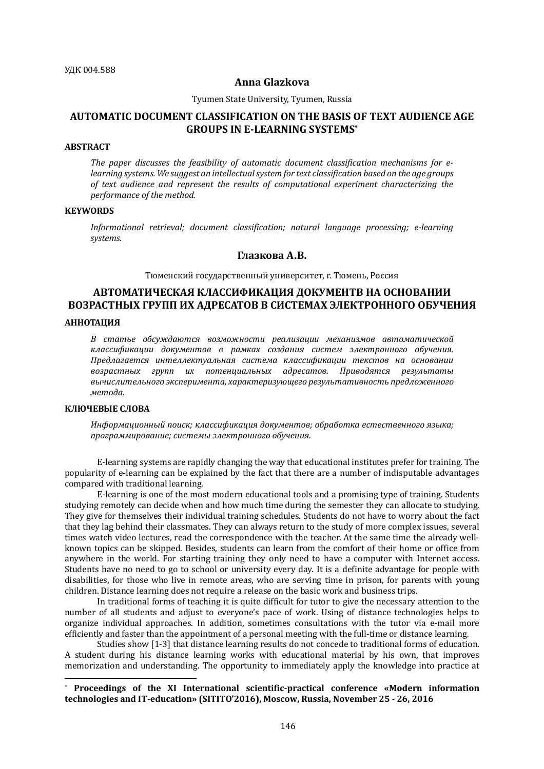#### **Anna Glazkova**

#### Tyumen State University, Tyumen, Russia

# **AUTOMATIC DOCUMENT CLASSIFICATION ON THE BASIS OF TEXT AUDIENCE AGE GROUPS IN E-LEARNING SYSTEMS\***

## **ABSTRACT**

The paper discusses the feasibility of automatic document classification mechanisms for e*learning systems.* We suggest an intellectual system for text classification based on the age groups of text audience and represent the results of computational experiment characterizing the *performance of the method.* 

### **KEYWORDS**

*Informational retrieval; document classification; natural language processing; e-learning systems.*

## **Глазкова А.В.**

Тюменский государственный университет, г. Тюмень, Россия

# **АВТОМАТИЧЕСКАЯ КЛАССИФИКАЦИЯ ДОКУМЕНТВ НА ОСНОВАНИИ ВОЗРАСТНЫХ ГРУПП ИХ АДРЕСАТОВ В СИСТЕМАХ ЭЛЕКТРОННОГО ОБУЧЕНИЯ**

#### **АННОТАЦИЯ**

В статье обсуждаются возможности реализации механизмов автоматической *классификации документов в рамках создания систем электронного обучения. Предлагается интеллектуальная система классификации текстов на основании возрастных групп их потенциальных адресатов. Приводятся результаты*  вычислительного эксперимента, характеризующего результативность предложенного *метода.*

#### **КЛЮЧЕВЫЕ СЛОВА**

 $\overline{a}$ 

Информационный поиск; классификация документов; обработка естественного языка; *программирование; системы электронного обучения.*

E-learning systems are rapidly changing the way that educational institutes prefer for training. The popularity of e-learning can be explained by the fact that there are a number of indisputable advantages compared with traditional learning.

E-learning is one of the most modern educational tools and a promising type of training. Students studying remotely can decide when and how much time during the semester they can allocate to studying. They give for themselves their individual training schedules. Students do not have to worry about the fact that they lag behind their classmates. They can always return to the study of more complex issues, several times watch video lectures, read the correspondence with the teacher. At the same time the already wellknown topics can be skipped. Besides, students can learn from the comfort of their home or office from anywhere in the world. For starting training they only need to have a computer with Internet access. Students have no need to go to school or university every day. It is a definite advantage for people with disabilities, for those who live in remote areas, who are serving time in prison, for parents with young children. Distance learning does not require a release on the basic work and business trips.

In traditional forms of teaching it is quite difficult for tutor to give the necessary attention to the number of all students and adjust to everyone's pace of work. Using of distance technologies helps to organize individual approaches. In addition, sometimes consultations with the tutor via e-mail more efficiently and faster than the appointment of a personal meeting with the full-time or distance learning.

Studies show [1-3] that distance learning results do not concede to traditional forms of education. A student during his distance learning works with educational material by his own, that improves memorization and understanding. The opportunity to immediately apply the knowledge into practice at

<sup>\*</sup> **Proceedings of the XI International scientific-practical conference «Modern information technologies and IT-education» (SITITO'2016), Moscow, Russia, November 25 - 26, 2016**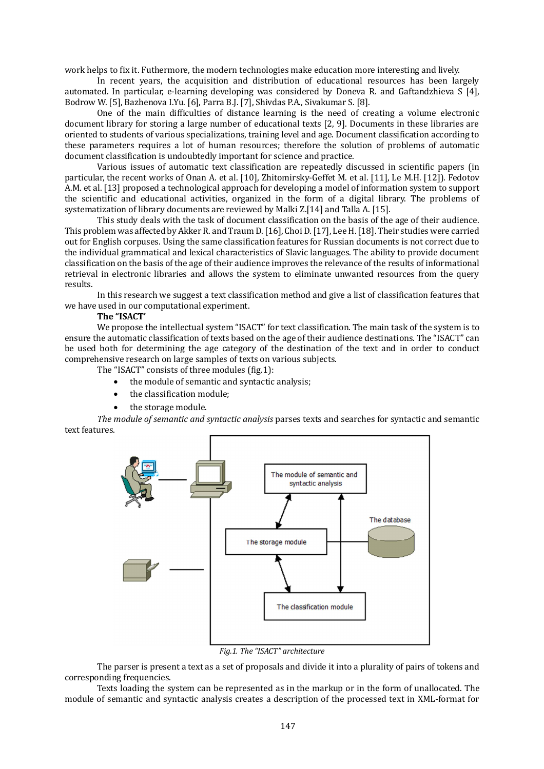work helps to fix it. Futhermore, the modern technologies make education more interesting and lively.

In recent years, the acquisition and distribution of educational resources has been largely automated. In particular, e-learning developing was considered by Doneva R. and Gaftandzhieva S [4], Bodrow W. [5], Bazhenova I.Yu. [6], Parra B.J. [7], Shivdas P.A., Sivakumar S. [8].

One of the main difficulties of distance learning is the need of creating a volume electronic document library for storing a large number of educational texts [2, 9]. Documents in these libraries are oriented to students of various specializations, training level and age. Document classification according to these parameters requires a lot of human resources; therefore the solution of problems of automatic document classification is undoubtedly important for science and practice.

Various issues of automatic text classification are repeatedly discussed in scientific papers (in particular, the recent works of Onan A. et al. [10], Zhitomirsky-Geffet M. et al. [11], Le M.H. [12]). Fedotov A.M. et al. [13] proposed a technological approach for developing a model of information system to support the scientific and educational activities, organized in the form of a digital library. The problems of systematization of library documents are reviewed by Malki Z.[14] and Talla A. [15].

This study deals with the task of document classification on the basis of the age of their audience. This problem was affected by Akker R. and Traum D. [16], Choi D. [17], Lee H. [18]. Their studies were carried out for English corpuses. Using the same classification features for Russian documents is not correct due to the individual grammatical and lexical characteristics of Slavic languages. The ability to provide document classification on the basis of the age of their audience improves the relevance of the results of informational retrieval in electronic libraries and allows the system to eliminate unwanted resources from the query results.

In this research we suggest a text classification method and give a list of classification features that we have used in our computational experiment.

### **The "ISACT'**

We propose the intellectual system "ISACT" for text classification. The main task of the system is to ensure the automatic classification of texts based on the age of their audience destinations. The "ISACT" can be used both for determining the age category of the destination of the text and in order to conduct comprehensive research on large samples of texts on various subjects.

The "ISACT" consists of three modules (fig.1):

- the module of semantic and syntactic analysis;
- the classification module;
- the storage module.

*The module of semantic and syntactic analysis* parses texts and searches for syntactic and semantic text features.



*Fig.1. The "ISACT" architecture*

The parser is present a text as a set of proposals and divide it into a plurality of pairs of tokens and corresponding frequencies.

Texts loading the system can be represented as in the markup or in the form of unallocated. The module of semantic and syntactic analysis creates a description of the processed text in XML-format for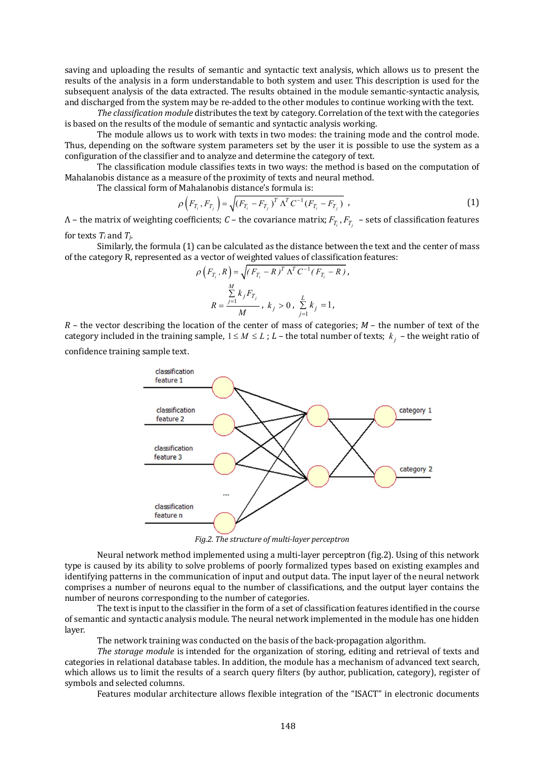saving and uploading the results of semantic and syntactic text analysis, which allows us to present the results of the analysis in a form understandable to both system and user. This description is used for the subsequent analysis of the data extracted. The results obtained in the module semantic-syntactic analysis, and discharged from the system may be re-added to the other modules to continue working with the text.

The classification module distributes the text by category. Correlation of the text with the categories is based on the results of the module of semantic and syntactic analysis working.

The module allows us to work with texts in two modes: the training mode and the control mode. Thus, depending on the software system parameters set by the user it is possible to use the system as a configuration of the classifier and to analyze and determine the category of text.

The classification module classifies texts in two ways: the method is based on the computation of Mahalanobis distance as a measure of the proximity of texts and neural method.

The classical form of Mahalanobis distance's formula is:

$$
\rho\left(F_{T_i}, F_{T_j}\right) = \sqrt{\left(F_{T_i} - F_{T_j}\right)^T \Lambda^T C^{-1} \left(F_{T_i} - F_{T_j}\right)} \tag{1}
$$

Λ – the matrix of weighting coefficients; *C* – the covariance matrix;  $F_{T_i}$ ,  $F_{T_j}$  – sets of classification features for texts  $T_i$  and  $T_j$ .

Similarly, the formula (1) can be calculated as the distance between the text and the center of mass of the category R, represented as a vector of weighted values of classification features:

$$
\rho\left(F_{T_i}, R\right) = \sqrt{(F_{T_i} - R)^T \Lambda^T C^{-1} (F_{T_i} - R)},
$$
  

$$
\sum_{j=1}^M k_j F_{T_j}
$$
,  $k_j > 0$ ,  $\sum_{j=1}^L k_j = 1$ ,

*R* – the vector describing the location of the center of mass of categories; *М* – the number of text of the category included in the training sample,  $1 \leq M \leq L$ ;  $L$  – the total number of texts;  $k_j$  – the weight ratio of confidence training sample text.



*Fig.2. The structure of multi-layer perceptron*

Neural network method implemented using a multi-layer perceptron (fig.2). Using of this network type is caused by its ability to solve problems of poorly formalized types based on existing examples and identifying patterns in the communication of input and output data. The input layer of the neural network comprises a number of neurons equal to the number of classifications, and the output layer contains the number of neurons corresponding to the number of categories.

The text is input to the classifier in the form of a set of classification features identified in the course of semantic and syntactic analysis module. The neural network implemented in the module has one hidden layer.

The network training was conducted on the basis of the back-propagation algorithm.

*The storage module* is intended for the organization of storing, editing and retrieval of texts and categories in relational database tables. In addition, the module has a mechanism of advanced text search, which allows us to limit the results of a search query filters (by author, publication, category), register of symbols and selected columns.

Features modular architecture allows flexible integration of the "ISACT" in electronic documents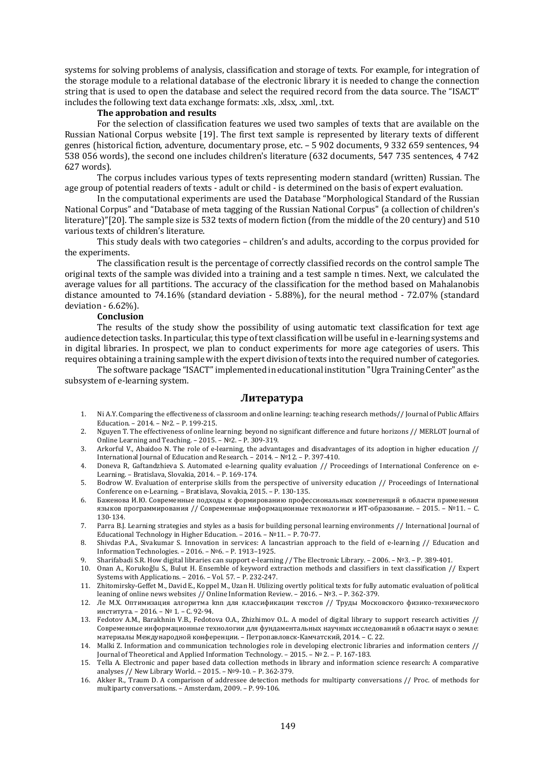systems for solving problems of analysis, classification and storage of texts. For example, for integration of the storage module to a relational database of the electronic library it is needed to change the connection string that is used to open the database and select the required record from the data source. The "ISACT" includes the following text data exchange formats: .xls, .xlsx, .xml, .txt.

#### **The approbation and results**

For the selection of classification features we used two samples of texts that are available on the Russian National Corpus website [19]. The first text sample is represented by literary texts of different genres (historical fiction, adventure, documentary prose, etc. – 5 902 documents, 9 332 659 sentences, 94 538 056 words), the second one includes children's literature (632 documents, 547 735 sentences, 4 742 627 words).

The corpus includes various types of texts representing modern standard (written) Russian. The age group of potential readers of texts - adult or child - is determined on the basis of expert evaluation.

In the computational experiments are used the Database "Morphological Standard of the Russian National Corpus" and "Database of meta tagging of the Russian National Corpus" (a collection of children's literature)"[20]. The sample size is 532 texts of modern fiction (from the middle of the 20 century) and 510 various texts of children's literature.

This study deals with two categories – children's and adults, according to the corpus provided for the experiments.

The classification result is the percentage of correctly classified records on the control sample The original texts of the sample was divided into a training and a test sample n times. Next, we calculated the average values for all partitions. The accuracy of the classification for the method based on Mahalanobis distance amounted to 74.16% (standard deviation - 5.88%), for the neural method - 72.07% (standard deviation - 6.62%).

### **Conclusion**

The results of the study show the possibility of using automatic text classification for text age audience detection tasks. In particular, this type of text classification will be useful in e-learning systems and in digital libraries. In prospect, we plan to conduct experiments for more age categories of users. This requires obtaining a training sample with the expert division of texts into the required number of categories.

The software package "ISAСT" implemented in educational institution "Ugra Training Center" as the subsystem of e-learning system.

#### **Литература**

- 1. Ni A.Y. Comparing the effectiveness of classroom and online learning: teaching research methods// Journal of Public Affairs Education. – 2014. – №2. – P. 199-215.
- 2. Nguyen T. The effectiveness of online learning: beyond no significant difference and future horizons // MERLOT Journal of Online Learning and Teaching. – 2015. – №2. – P. 309-319.
- 3. Arkorful V., Abaidoo N. The role of e-learning, the advantages and disadvantages of its adoption in higher education // International Journal of Education and Research. – 2014. – №12. – P. 397-410.
- 4. Doneva R, Gaftandzhieva S. Automated e-learning quality evaluation // Proceedings of International Conference on e-Learning. – Bratislava, Slovakia, 2014. – P. 169-174.
- 5. Bodrow W. Evaluation of enterprise skills from the perspective of university education // Proceedings of International Conference on e-Learning. – Bratislava, Slovakia, 2015. – P. 130-135.
- 6. Баженова И.Ю. Современные подходы к формированию профессиональных компетенций в области применения языков программирования // Современные информационные технологии и ИТ-образование. – 2015. – №11. – С. 130-134.
- 7. Parra B.J. Learning strategies and styles as a basis for building personal learning environments // International Journal of Educational Technology in Higher Education. – 2016. – №11. – P. 70-77.
- 8. Shivdas P.A., Sivakumar S. Innovation in services: A lancastrian approach to the field of e-learning // Education and Information Technologies. – 2016. – №6. – P. 1913–1925.
- 9. Sharifabadi S.R. How digital libraries can support e-learning // The Electronic Library. 2006. №3. P. 389-401.
- 10. Onan A., Korukoǧlu S., Bulut H. Ensemble of keyword extraction methods and classifiers in text classification // Expert Systems with Applications. – 2016. – Vol. 57. – P. 232-247.
- 11. Zhitomirsky-Geffet M., David E., Koppel M., Uzan H. Utilizing overtly political texts for fully automatic evaluation of political leaning of online news websites // Online Information Review. – 2016. – №3. – P. 362-379.
- 12. Ле М.Х. Оптимизация алгоритма knn для классификации текстов // Труды Московского физико-технического института. – 2016. – № 1. – С. 92-94.
- 13. Fedotov A.M., Barakhnin V.B., Fedotova O.A., Zhizhimov O.L. A model of digital library to support research activities // Cовременные информационные технологии для фундаментальных научных исследований в области наук о земле: материалы Международной конференции. – Петропавловск-Камчатский, 2014. – С. 22.
- 14. Malki Z. Information and communication technologies role in developing electronic libraries and information centers // Journal of Theoretical and Applied Information Technology. – 2015. – № 2. – P. 167-183.
- 15. Tella A. Electronic and paper based data collection methods in library and information science research: A comparative analyses // New Library World. – 2015. – №9-10. – P. 362-379.
- 16. Akker R., Traum D. A comparison of addressee detection methods for multiparty conversations // Proc. of methods for multiparty conversations. – Amsterdam, 2009. – P. 99-106.